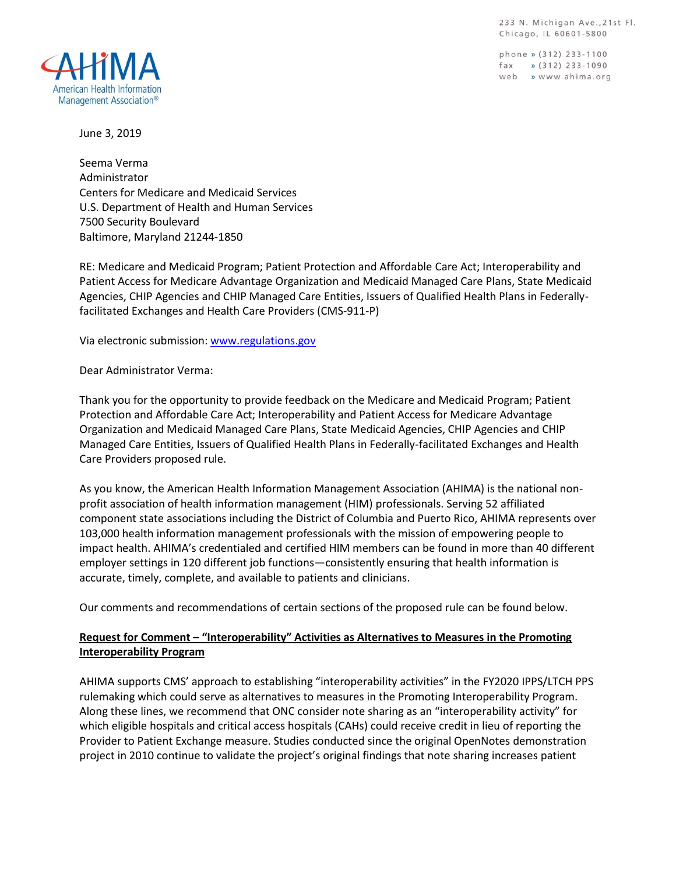233 N. Michigan Ave., 21st Fl. Chicago, IL 60601-5800

phone » (312) 233-1100  $\int \text{d}x \rightarrow (312) 233-1090$ web » www.ahima.org



June 3, 2019

Seema Verma Administrator Centers for Medicare and Medicaid Services U.S. Department of Health and Human Services 7500 Security Boulevard Baltimore, Maryland 21244-1850

RE: Medicare and Medicaid Program; Patient Protection and Affordable Care Act; Interoperability and Patient Access for Medicare Advantage Organization and Medicaid Managed Care Plans, State Medicaid Agencies, CHIP Agencies and CHIP Managed Care Entities, Issuers of Qualified Health Plans in Federallyfacilitated Exchanges and Health Care Providers (CMS-911-P)

Via electronic submission[: www.regulations.gov](http://www.regulations.gov/)

Dear Administrator Verma:

Thank you for the opportunity to provide feedback on the Medicare and Medicaid Program; Patient Protection and Affordable Care Act; Interoperability and Patient Access for Medicare Advantage Organization and Medicaid Managed Care Plans, State Medicaid Agencies, CHIP Agencies and CHIP Managed Care Entities, Issuers of Qualified Health Plans in Federally-facilitated Exchanges and Health Care Providers proposed rule.

As you know, the American Health Information Management Association (AHIMA) is the national nonprofit association of health information management (HIM) professionals. Serving 52 affiliated component state associations including the District of Columbia and Puerto Rico, AHIMA represents over 103,000 health information management professionals with the mission of empowering people to impact health. AHIMA's credentialed and certified HIM members can be found in more than 40 different employer settings in 120 different job functions—consistently ensuring that health information is accurate, timely, complete, and available to patients and clinicians.

Our comments and recommendations of certain sections of the proposed rule can be found below.

### **Request for Comment – "Interoperability" Activities as Alternatives to Measures in the Promoting Interoperability Program**

AHIMA supports CMS' approach to establishing "interoperability activities" in the FY2020 IPPS/LTCH PPS rulemaking which could serve as alternatives to measures in the Promoting Interoperability Program. Along these lines, we recommend that ONC consider note sharing as an "interoperability activity" for which eligible hospitals and critical access hospitals (CAHs) could receive credit in lieu of reporting the Provider to Patient Exchange measure. Studies conducted since the original OpenNotes demonstration project in 2010 continue to validate the project's original findings that note sharing increases patient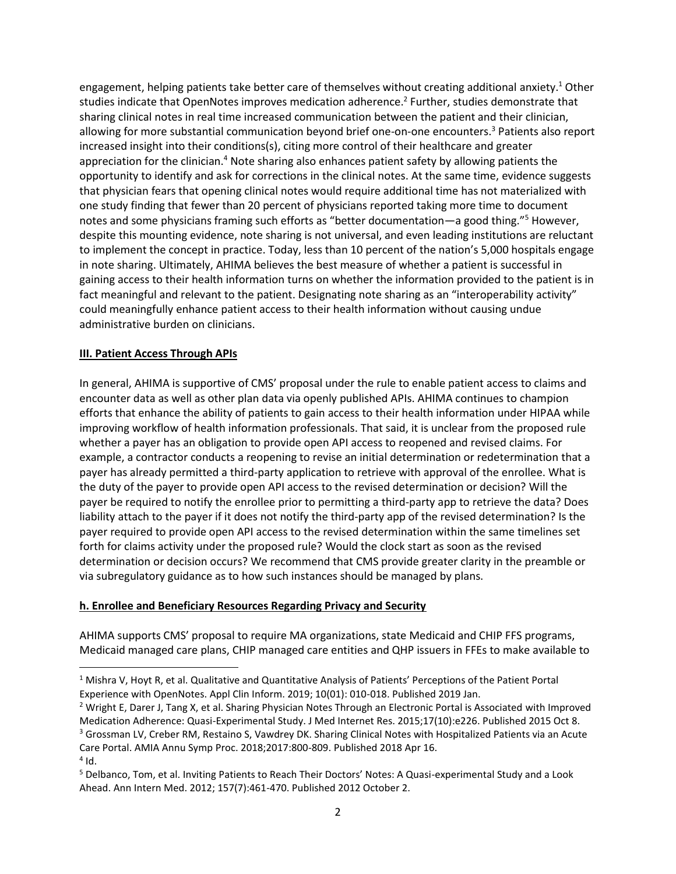engagement, helping patients take better care of themselves without creating additional anxiety. <sup>1</sup> Other studies indicate that OpenNotes improves medication adherence.<sup>2</sup> Further, studies demonstrate that sharing clinical notes in real time increased communication between the patient and their clinician, allowing for more substantial communication beyond brief one-on-one encounters.<sup>3</sup> Patients also report increased insight into their conditions(s), citing more control of their healthcare and greater appreciation for the clinician.<sup>4</sup> Note sharing also enhances patient safety by allowing patients the opportunity to identify and ask for corrections in the clinical notes. At the same time, evidence suggests that physician fears that opening clinical notes would require additional time has not materialized with one study finding that fewer than 20 percent of physicians reported taking more time to document notes and some physicians framing such efforts as "better documentation—a good thing."<sup>5</sup> However, despite this mounting evidence, note sharing is not universal, and even leading institutions are reluctant to implement the concept in practice. Today, less than 10 percent of the nation's 5,000 hospitals engage in note sharing. Ultimately, AHIMA believes the best measure of whether a patient is successful in gaining access to their health information turns on whether the information provided to the patient is in fact meaningful and relevant to the patient. Designating note sharing as an "interoperability activity" could meaningfully enhance patient access to their health information without causing undue administrative burden on clinicians.

#### **III. Patient Access Through APIs**

In general, AHIMA is supportive of CMS' proposal under the rule to enable patient access to claims and encounter data as well as other plan data via openly published APIs. AHIMA continues to champion efforts that enhance the ability of patients to gain access to their health information under HIPAA while improving workflow of health information professionals. That said, it is unclear from the proposed rule whether a payer has an obligation to provide open API access to reopened and revised claims. For example, a contractor conducts a reopening to revise an initial determination or redetermination that a payer has already permitted a third-party application to retrieve with approval of the enrollee. What is the duty of the payer to provide open API access to the revised determination or decision? Will the payer be required to notify the enrollee prior to permitting a third-party app to retrieve the data? Does liability attach to the payer if it does not notify the third-party app of the revised determination? Is the payer required to provide open API access to the revised determination within the same timelines set forth for claims activity under the proposed rule? Would the clock start as soon as the revised determination or decision occurs? We recommend that CMS provide greater clarity in the preamble or via subregulatory guidance as to how such instances should be managed by plans.

#### **h. Enrollee and Beneficiary Resources Regarding Privacy and Security**

AHIMA supports CMS' proposal to require MA organizations, state Medicaid and CHIP FFS programs, Medicaid managed care plans, CHIP managed care entities and QHP issuers in FFEs to make available to

 $1$  Mishra V, Hoyt R, et al. Qualitative and Quantitative Analysis of Patients' Perceptions of the Patient Portal Experience with OpenNotes. Appl Clin Inform. 2019; 10(01): 010-018. Published 2019 Jan.

<sup>2</sup> Wright E, Darer J, Tang X, et al. Sharing Physician Notes Through an Electronic Portal is Associated with Improved Medication Adherence: Quasi-Experimental Study. J Med Internet Res. 2015;17(10):e226. Published 2015 Oct 8. <sup>3</sup> Grossman LV, Creber RM, Restaino S, Vawdrey DK. Sharing Clinical Notes with Hospitalized Patients via an Acute Care Portal. AMIA Annu Symp Proc. 2018;2017:800-809. Published 2018 Apr 16.

 $4$  Id.

<sup>5</sup> Delbanco, Tom, et al. Inviting Patients to Reach Their Doctors' Notes: A Quasi-experimental Study and a Look Ahead. Ann Intern Med. 2012; 157(7):461-470. Published 2012 October 2.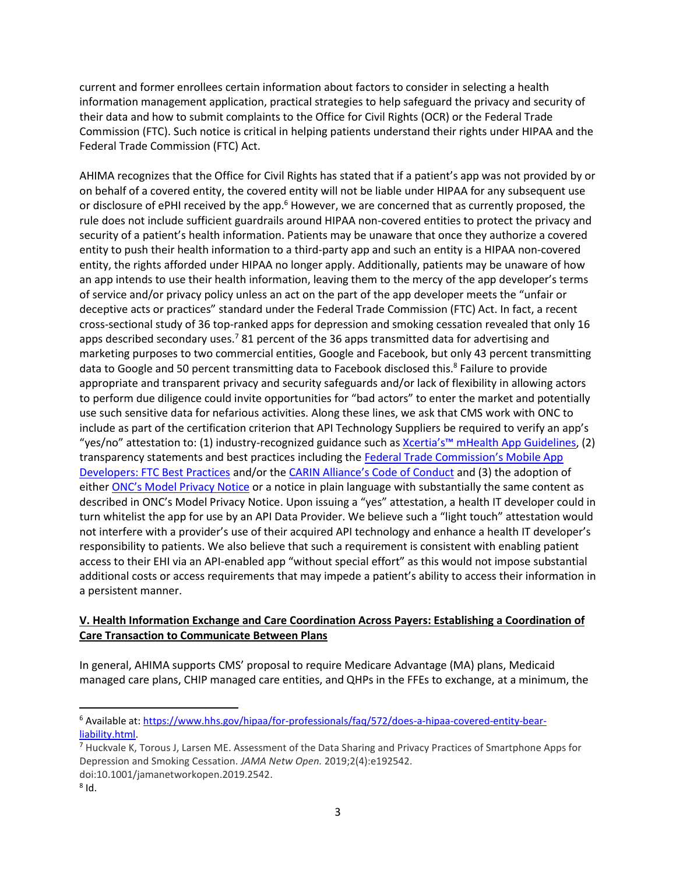current and former enrollees certain information about factors to consider in selecting a health information management application, practical strategies to help safeguard the privacy and security of their data and how to submit complaints to the Office for Civil Rights (OCR) or the Federal Trade Commission (FTC). Such notice is critical in helping patients understand their rights under HIPAA and the Federal Trade Commission (FTC) Act.

AHIMA recognizes that the Office for Civil Rights has stated that if a patient's app was not provided by or on behalf of a covered entity, the covered entity will not be liable under HIPAA for any subsequent use or disclosure of ePHI received by the app.<sup>6</sup> However, we are concerned that as currently proposed, the rule does not include sufficient guardrails around HIPAA non-covered entities to protect the privacy and security of a patient's health information. Patients may be unaware that once they authorize a covered entity to push their health information to a third-party app and such an entity is a HIPAA non-covered entity, the rights afforded under HIPAA no longer apply. Additionally, patients may be unaware of how an app intends to use their health information, leaving them to the mercy of the app developer's terms of service and/or privacy policy unless an act on the part of the app developer meets the "unfair or deceptive acts or practices" standard under the Federal Trade Commission (FTC) Act. In fact, a recent cross-sectional study of 36 top-ranked apps for depression and smoking cessation revealed that only 16 apps described secondary uses.<sup>7</sup> 81 percent of the 36 apps transmitted data for advertising and marketing purposes to two commercial entities, Google and Facebook, but only 43 percent transmitting data to Google and 50 percent transmitting data to Facebook disclosed this.<sup>8</sup> Failure to provide appropriate and transparent privacy and security safeguards and/or lack of flexibility in allowing actors to perform due diligence could invite opportunities for "bad actors" to enter the market and potentially use such sensitive data for nefarious activities. Along these lines, we ask that CMS work with ONC to include as part of the certification criterion that API Technology Suppliers be required to verify an app's "yes/no" attestation to: (1) industry-recognized guidance such as Xcertia's<sup>™</sup> [mHealth App Guidelines,](https://xcertia.org/the-guidelines/) (2) transparency statements and best practices including the [Federal Trade Commission's Mobile App](https://www.ftc.gov/tips-advice/business-center/guidance/mobile-health-app-developers-ftc-best-practices)  [Developers: FTC Best Practices](https://www.ftc.gov/tips-advice/business-center/guidance/mobile-health-app-developers-ftc-best-practices) and/or the [CARIN Alliance's Code of Conduct](https://www.carinalliance.com/our-work/trust-framework-and-code-of-conduct/) and (3) the adoption of either [ONC's Model Privacy Notice](https://www.healthit.gov/sites/default/files/2018modelprivacynotice.pdf) or a notice in plain language with substantially the same content as described in ONC's Model Privacy Notice. Upon issuing a "yes" attestation, a health IT developer could in turn whitelist the app for use by an API Data Provider. We believe such a "light touch" attestation would not interfere with a provider's use of their acquired API technology and enhance a health IT developer's responsibility to patients. We also believe that such a requirement is consistent with enabling patient access to their EHI via an API-enabled app "without special effort" as this would not impose substantial additional costs or access requirements that may impede a patient's ability to access their information in a persistent manner.

## **V. Health Information Exchange and Care Coordination Across Payers: Establishing a Coordination of Care Transaction to Communicate Between Plans**

In general, AHIMA supports CMS' proposal to require Medicare Advantage (MA) plans, Medicaid managed care plans, CHIP managed care entities, and QHPs in the FFEs to exchange, at a minimum, the

l

<sup>6</sup> Available at: [https://www.hhs.gov/hipaa/for-professionals/faq/572/does-a-hipaa-covered-entity-bear](https://www.hhs.gov/hipaa/for-professionals/faq/572/does-a-hipaa-covered-entity-bear-liability.html)[liability.html.](https://www.hhs.gov/hipaa/for-professionals/faq/572/does-a-hipaa-covered-entity-bear-liability.html)

<sup>7</sup> Huckvale K, Torous J, Larsen ME. Assessment of the Data Sharing and Privacy Practices of Smartphone Apps for Depression and Smoking Cessation. *JAMA Netw Open.* 2019;2(4):e192542. doi:10.1001/jamanetworkopen.2019.2542.

 $^8$  Id.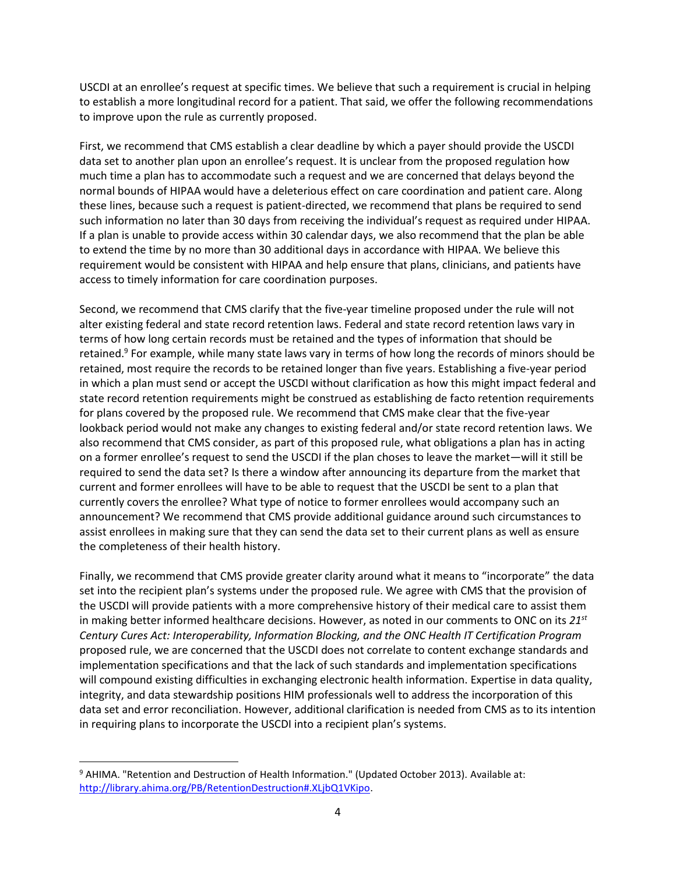USCDI at an enrollee's request at specific times. We believe that such a requirement is crucial in helping to establish a more longitudinal record for a patient. That said, we offer the following recommendations to improve upon the rule as currently proposed.

First, we recommend that CMS establish a clear deadline by which a payer should provide the USCDI data set to another plan upon an enrollee's request. It is unclear from the proposed regulation how much time a plan has to accommodate such a request and we are concerned that delays beyond the normal bounds of HIPAA would have a deleterious effect on care coordination and patient care. Along these lines, because such a request is patient-directed, we recommend that plans be required to send such information no later than 30 days from receiving the individual's request as required under HIPAA. If a plan is unable to provide access within 30 calendar days, we also recommend that the plan be able to extend the time by no more than 30 additional days in accordance with HIPAA. We believe this requirement would be consistent with HIPAA and help ensure that plans, clinicians, and patients have access to timely information for care coordination purposes.

Second, we recommend that CMS clarify that the five-year timeline proposed under the rule will not alter existing federal and state record retention laws. Federal and state record retention laws vary in terms of how long certain records must be retained and the types of information that should be retained.<sup>9</sup> For example, while many state laws vary in terms of how long the records of minors should be retained, most require the records to be retained longer than five years. Establishing a five-year period in which a plan must send or accept the USCDI without clarification as how this might impact federal and state record retention requirements might be construed as establishing de facto retention requirements for plans covered by the proposed rule. We recommend that CMS make clear that the five-year lookback period would not make any changes to existing federal and/or state record retention laws. We also recommend that CMS consider, as part of this proposed rule, what obligations a plan has in acting on a former enrollee's request to send the USCDI if the plan choses to leave the market—will it still be required to send the data set? Is there a window after announcing its departure from the market that current and former enrollees will have to be able to request that the USCDI be sent to a plan that currently covers the enrollee? What type of notice to former enrollees would accompany such an announcement? We recommend that CMS provide additional guidance around such circumstances to assist enrollees in making sure that they can send the data set to their current plans as well as ensure the completeness of their health history.

Finally, we recommend that CMS provide greater clarity around what it means to "incorporate" the data set into the recipient plan's systems under the proposed rule. We agree with CMS that the provision of the USCDI will provide patients with a more comprehensive history of their medical care to assist them in making better informed healthcare decisions. However, as noted in our comments to ONC on its *21st Century Cures Act: Interoperability, Information Blocking, and the ONC Health IT Certification Program* proposed rule, we are concerned that the USCDI does not correlate to content exchange standards and implementation specifications and that the lack of such standards and implementation specifications will compound existing difficulties in exchanging electronic health information. Expertise in data quality, integrity, and data stewardship positions HIM professionals well to address the incorporation of this data set and error reconciliation. However, additional clarification is needed from CMS as to its intention in requiring plans to incorporate the USCDI into a recipient plan's systems.

<sup>&</sup>lt;sup>9</sup> AHIMA. "Retention and Destruction of Health Information." (Updated October 2013). Available at: [http://library.ahima.org/PB/RetentionDestruction#.XLjbQ1VKipo.](http://library.ahima.org/PB/RetentionDestruction#.XLjbQ1VKipo)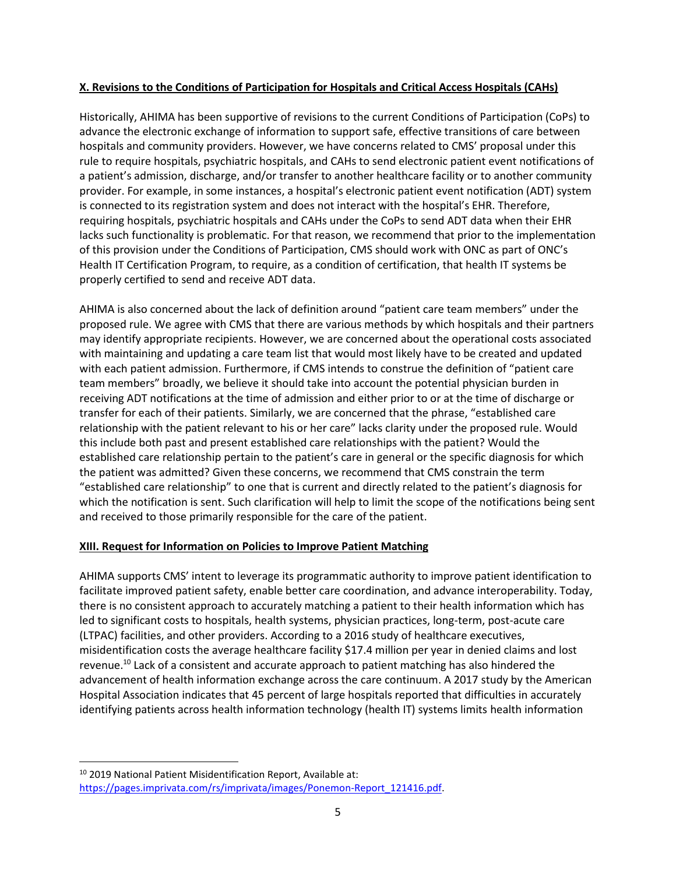#### **X. Revisions to the Conditions of Participation for Hospitals and Critical Access Hospitals (CAHs)**

Historically, AHIMA has been supportive of revisions to the current Conditions of Participation (CoPs) to advance the electronic exchange of information to support safe, effective transitions of care between hospitals and community providers. However, we have concerns related to CMS' proposal under this rule to require hospitals, psychiatric hospitals, and CAHs to send electronic patient event notifications of a patient's admission, discharge, and/or transfer to another healthcare facility or to another community provider. For example, in some instances, a hospital's electronic patient event notification (ADT) system is connected to its registration system and does not interact with the hospital's EHR. Therefore, requiring hospitals, psychiatric hospitals and CAHs under the CoPs to send ADT data when their EHR lacks such functionality is problematic. For that reason, we recommend that prior to the implementation of this provision under the Conditions of Participation, CMS should work with ONC as part of ONC's Health IT Certification Program, to require, as a condition of certification, that health IT systems be properly certified to send and receive ADT data.

AHIMA is also concerned about the lack of definition around "patient care team members" under the proposed rule. We agree with CMS that there are various methods by which hospitals and their partners may identify appropriate recipients. However, we are concerned about the operational costs associated with maintaining and updating a care team list that would most likely have to be created and updated with each patient admission. Furthermore, if CMS intends to construe the definition of "patient care team members" broadly, we believe it should take into account the potential physician burden in receiving ADT notifications at the time of admission and either prior to or at the time of discharge or transfer for each of their patients. Similarly, we are concerned that the phrase, "established care relationship with the patient relevant to his or her care" lacks clarity under the proposed rule. Would this include both past and present established care relationships with the patient? Would the established care relationship pertain to the patient's care in general or the specific diagnosis for which the patient was admitted? Given these concerns, we recommend that CMS constrain the term "established care relationship" to one that is current and directly related to the patient's diagnosis for which the notification is sent. Such clarification will help to limit the scope of the notifications being sent and received to those primarily responsible for the care of the patient.

### **XIII. Request for Information on Policies to Improve Patient Matching**

AHIMA supports CMS' intent to leverage its programmatic authority to improve patient identification to facilitate improved patient safety, enable better care coordination, and advance interoperability. Today, there is no consistent approach to accurately matching a patient to their health information which has led to significant costs to hospitals, health systems, physician practices, long-term, post-acute care (LTPAC) facilities, and other providers. According to a 2016 study of healthcare executives, misidentification costs the average healthcare facility \$17.4 million per year in denied claims and lost revenue.<sup>10</sup> Lack of a consistent and accurate approach to patient matching has also hindered the advancement of health information exchange across the care continuum. A 2017 study by the American Hospital Association indicates that 45 percent of large hospitals reported that difficulties in accurately identifying patients across health information technology (health IT) systems limits health information

<sup>&</sup>lt;sup>10</sup> 2019 National Patient Misidentification Report, Available at: [https://pages.imprivata.com/rs/imprivata/images/Ponemon-Report\\_121416.pdf.](https://pages.imprivata.com/rs/imprivata/images/Ponemon-Report_121416.pdf)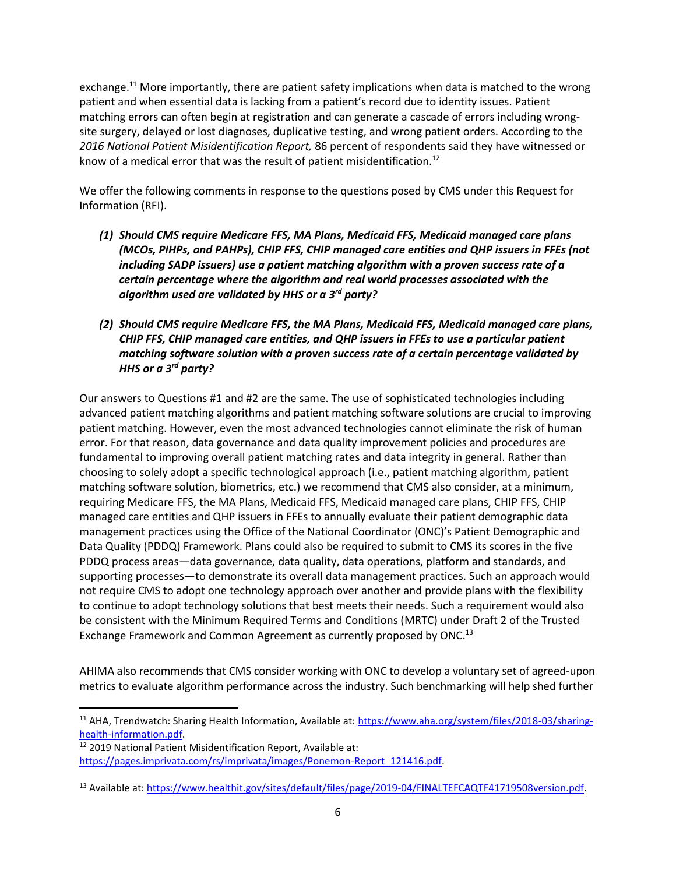exchange.<sup>11</sup> More importantly, there are patient safety implications when data is matched to the wrong patient and when essential data is lacking from a patient's record due to identity issues. Patient matching errors can often begin at registration and can generate a cascade of errors including wrongsite surgery, delayed or lost diagnoses, duplicative testing, and wrong patient orders. According to the *2016 National Patient Misidentification Report,* 86 percent of respondents said they have witnessed or know of a medical error that was the result of patient misidentification.<sup>12</sup>

We offer the following comments in response to the questions posed by CMS under this Request for Information (RFI).

- *(1) Should CMS require Medicare FFS, MA Plans, Medicaid FFS, Medicaid managed care plans (MCOs, PIHPs, and PAHPs), CHIP FFS, CHIP managed care entities and QHP issuers in FFEs (not including SADP issuers) use a patient matching algorithm with a proven success rate of a certain percentage where the algorithm and real world processes associated with the algorithm used are validated by HHS or a 3rd party?*
- *(2) Should CMS require Medicare FFS, the MA Plans, Medicaid FFS, Medicaid managed care plans, CHIP FFS, CHIP managed care entities, and QHP issuers in FFEs to use a particular patient matching software solution with a proven success rate of a certain percentage validated by HHS or a 3rd party?*

Our answers to Questions #1 and #2 are the same. The use of sophisticated technologies including advanced patient matching algorithms and patient matching software solutions are crucial to improving patient matching. However, even the most advanced technologies cannot eliminate the risk of human error. For that reason, data governance and data quality improvement policies and procedures are fundamental to improving overall patient matching rates and data integrity in general. Rather than choosing to solely adopt a specific technological approach (i.e., patient matching algorithm, patient matching software solution, biometrics, etc.) we recommend that CMS also consider, at a minimum, requiring Medicare FFS, the MA Plans, Medicaid FFS, Medicaid managed care plans, CHIP FFS, CHIP managed care entities and QHP issuers in FFEs to annually evaluate their patient demographic data management practices using the Office of the National Coordinator (ONC)'s Patient Demographic and Data Quality (PDDQ) Framework. Plans could also be required to submit to CMS its scores in the five PDDQ process areas—data governance, data quality, data operations, platform and standards, and supporting processes—to demonstrate its overall data management practices. Such an approach would not require CMS to adopt one technology approach over another and provide plans with the flexibility to continue to adopt technology solutions that best meets their needs. Such a requirement would also be consistent with the Minimum Required Terms and Conditions (MRTC) under Draft 2 of the Trusted Exchange Framework and Common Agreement as currently proposed by ONC.<sup>13</sup>

AHIMA also recommends that CMS consider working with ONC to develop a voluntary set of agreed-upon metrics to evaluate algorithm performance across the industry. Such benchmarking will help shed further

l

<sup>&</sup>lt;sup>11</sup> AHA, Trendwatch: Sharing Health Information, Available at: [https://www.aha.org/system/files/2018-03/sharing](https://www.aha.org/system/files/2018-03/sharing-health-information.pdf)[health-information.pdf.](https://www.aha.org/system/files/2018-03/sharing-health-information.pdf)

<sup>12</sup> 2019 National Patient Misidentification Report, Available at: [https://pages.imprivata.com/rs/imprivata/images/Ponemon-Report\\_121416.pdf.](https://pages.imprivata.com/rs/imprivata/images/Ponemon-Report_121416.pdf)

<sup>&</sup>lt;sup>13</sup> Available at: [https://www.healthit.gov/sites/default/files/page/2019-04/FINALTEFCAQTF41719508version.pdf.](https://www.healthit.gov/sites/default/files/page/2019-04/FINALTEFCAQTF41719508version.pdf)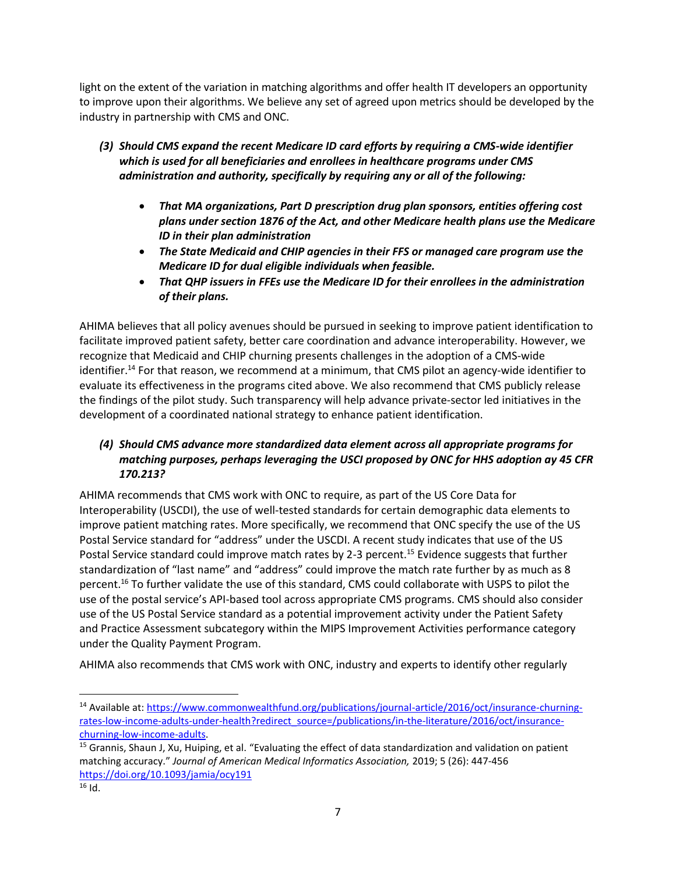light on the extent of the variation in matching algorithms and offer health IT developers an opportunity to improve upon their algorithms. We believe any set of agreed upon metrics should be developed by the industry in partnership with CMS and ONC.

- *(3) Should CMS expand the recent Medicare ID card efforts by requiring a CMS-wide identifier which is used for all beneficiaries and enrollees in healthcare programs under CMS administration and authority, specifically by requiring any or all of the following:*
	- *That MA organizations, Part D prescription drug plan sponsors, entities offering cost plans under section 1876 of the Act, and other Medicare health plans use the Medicare ID in their plan administration*
	- *The State Medicaid and CHIP agencies in their FFS or managed care program use the Medicare ID for dual eligible individuals when feasible.*
	- *That QHP issuers in FFEs use the Medicare ID for their enrollees in the administration of their plans.*

AHIMA believes that all policy avenues should be pursued in seeking to improve patient identification to facilitate improved patient safety, better care coordination and advance interoperability. However, we recognize that Medicaid and CHIP churning presents challenges in the adoption of a CMS-wide identifier.<sup>14</sup> For that reason, we recommend at a minimum, that CMS pilot an agency-wide identifier to evaluate its effectiveness in the programs cited above. We also recommend that CMS publicly release the findings of the pilot study. Such transparency will help advance private-sector led initiatives in the development of a coordinated national strategy to enhance patient identification.

# *(4) Should CMS advance more standardized data element across all appropriate programs for matching purposes, perhaps leveraging the USCI proposed by ONC for HHS adoption ay 45 CFR 170.213?*

AHIMA recommends that CMS work with ONC to require, as part of the US Core Data for Interoperability (USCDI), the use of well-tested standards for certain demographic data elements to improve patient matching rates. More specifically, we recommend that ONC specify the use of the US Postal Service standard for "address" under the USCDI. A recent study indicates that use of the US Postal Service standard could improve match rates by 2-3 percent.<sup>15</sup> Evidence suggests that further standardization of "last name" and "address" could improve the match rate further by as much as 8 percent.<sup>16</sup> To further validate the use of this standard, CMS could collaborate with USPS to pilot the use of the postal service's API-based tool across appropriate CMS programs. CMS should also consider use of the US Postal Service standard as a potential improvement activity under the Patient Safety and Practice Assessment subcategory within the MIPS Improvement Activities performance category under the Quality Payment Program.

AHIMA also recommends that CMS work with ONC, industry and experts to identify other regularly

<sup>14</sup> Available at: [https://www.commonwealthfund.org/publications/journal-article/2016/oct/insurance-churning](https://www.commonwealthfund.org/publications/journal-article/2016/oct/insurance-churning-rates-low-income-adults-under-health?redirect_source=/publications/in-the-literature/2016/oct/insurance-churning-low-income-adults)[rates-low-income-adults-under-health?redirect\\_source=/publications/in-the-literature/2016/oct/insurance](https://www.commonwealthfund.org/publications/journal-article/2016/oct/insurance-churning-rates-low-income-adults-under-health?redirect_source=/publications/in-the-literature/2016/oct/insurance-churning-low-income-adults)[churning-low-income-adults.](https://www.commonwealthfund.org/publications/journal-article/2016/oct/insurance-churning-rates-low-income-adults-under-health?redirect_source=/publications/in-the-literature/2016/oct/insurance-churning-low-income-adults) 

<sup>&</sup>lt;sup>15</sup> Grannis, Shaun J, Xu, Huiping, et al. "Evaluating the effect of data standardization and validation on patient matching accuracy." *Journal of American Medical Informatics Association,* 2019; 5 (26): 447-456 <https://doi.org/10.1093/jamia/ocy191>